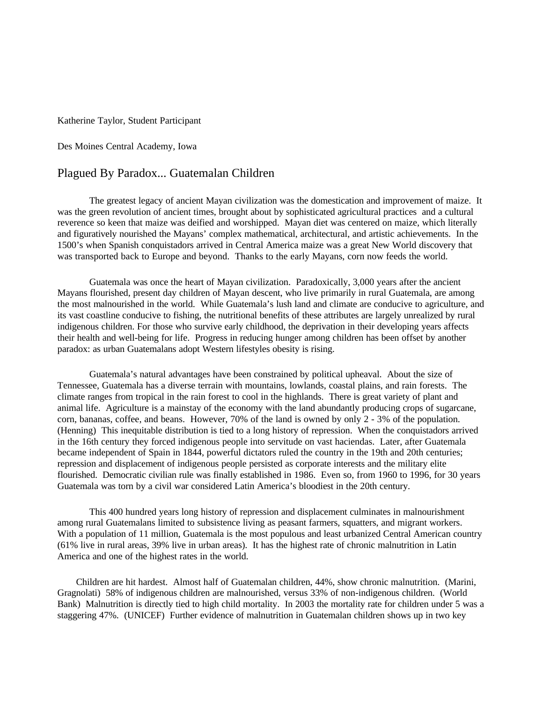Katherine Taylor, Student Participant

Des Moines Central Academy, Iowa

## Plagued By Paradox... Guatemalan Children

The greatest legacy of ancient Mayan civilization was the domestication and improvement of maize. It was the green revolution of ancient times, brought about by sophisticated agricultural practices and a cultural reverence so keen that maize was deified and worshipped. Mayan diet was centered on maize, which literally and figuratively nourished the Mayans' complex mathematical, architectural, and artistic achievements. In the 1500's when Spanish conquistadors arrived in Central America maize was a great New World discovery that was transported back to Europe and beyond. Thanks to the early Mayans, corn now feeds the world.

Guatemala was once the heart of Mayan civilization. Paradoxically, 3,000 years after the ancient Mayans flourished, present day children of Mayan descent, who live primarily in rural Guatemala, are among the most malnourished in the world. While Guatemala's lush land and climate are conducive to agriculture, and its vast coastline conducive to fishing, the nutritional benefits of these attributes are largely unrealized by rural indigenous children. For those who survive early childhood, the deprivation in their developing years affects their health and well-being for life. Progress in reducing hunger among children has been offset by another paradox: as urban Guatemalans adopt Western lifestyles obesity is rising.

 Guatemala's natural advantages have been constrained by political upheaval. About the size of Tennessee, Guatemala has a diverse terrain with mountains, lowlands, coastal plains, and rain forests. The climate ranges from tropical in the rain forest to cool in the highlands. There is great variety of plant and animal life. Agriculture is a mainstay of the economy with the land abundantly producing crops of sugarcane, corn, bananas, coffee, and beans. However, 70% of the land is owned by only 2 - 3% of the population. (Henning) This inequitable distribution is tied to a long history of repression. When the conquistadors arrived in the 16th century they forced indigenous people into servitude on vast haciendas. Later, after Guatemala became independent of Spain in 1844, powerful dictators ruled the country in the 19th and 20th centuries; repression and displacement of indigenous people persisted as corporate interests and the military elite flourished. Democratic civilian rule was finally established in 1986. Even so, from 1960 to 1996, for 30 years Guatemala was torn by a civil war considered Latin America's bloodiest in the 20th century.

This 400 hundred years long history of repression and displacement culminates in malnourishment among rural Guatemalans limited to subsistence living as peasant farmers, squatters, and migrant workers. With a population of 11 million, Guatemala is the most populous and least urbanized Central American country (61% live in rural areas, 39% live in urban areas). It has the highest rate of chronic malnutrition in Latin America and one of the highest rates in the world.

 Children are hit hardest. Almost half of Guatemalan children, 44%, show chronic malnutrition. (Marini, Gragnolati) 58% of indigenous children are malnourished, versus 33% of non-indigenous children. (World Bank) Malnutrition is directly tied to high child mortality. In 2003 the mortality rate for children under 5 was a staggering 47%. (UNICEF) Further evidence of malnutrition in Guatemalan children shows up in two key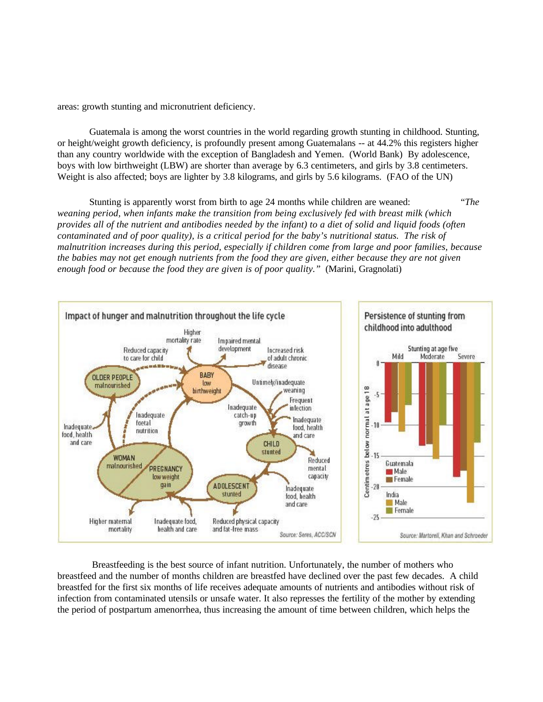areas: growth stunting and micronutrient deficiency.

Guatemala is among the worst countries in the world regarding growth stunting in childhood. Stunting, or height/weight growth deficiency, is profoundly present among Guatemalans -- at 44.2% this registers higher than any country worldwide with the exception of Bangladesh and Yemen. (World Bank) By adolescence, boys with low birthweight (LBW) are shorter than average by 6.3 centimeters, and girls by 3.8 centimeters. Weight is also affected; boys are lighter by 3.8 kilograms, and girls by 5.6 kilograms. (FAO of the UN)

Stunting is apparently worst from birth to age 24 months while children are weaned: "*The weaning period, when infants make the transition from being exclusively fed with breast milk (which provides all of the nutrient and antibodies needed by the infant) to a diet of solid and liquid foods (often contaminated and of poor quality), is a critical period for the baby's nutritional status. The risk of malnutrition increases during this period, especially if children come from large and poor families, because the babies may not get enough nutrients from the food they are given, either because they are not given enough food or because the food they are given is of poor quality."* (Marini, Gragnolati)



 Breastfeeding is the best source of infant nutrition. Unfortunately, the number of mothers who breastfeed and the number of months children are breastfed have declined over the past few decades. A child breastfed for the first six months of life receives adequate amounts of nutrients and antibodies without risk of infection from contaminated utensils or unsafe water. It also represses the fertility of the mother by extending the period of postpartum amenorrhea, thus increasing the amount of time between children, which helps the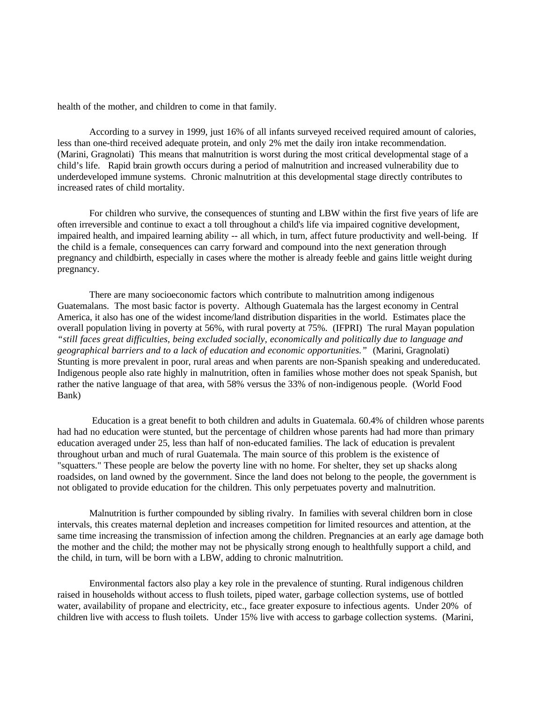health of the mother, and children to come in that family.

According to a survey in 1999, just 16% of all infants surveyed received required amount of calories, less than one-third received adequate protein, and only 2% met the daily iron intake recommendation. (Marini, Gragnolati) This means that malnutrition is worst during the most critical developmental stage of a child's life. Rapid brain growth occurs during a period of malnutrition and increased vulnerability due to underdeveloped immune systems. Chronic malnutrition at this developmental stage directly contributes to increased rates of child mortality.

For children who survive, the consequences of stunting and LBW within the first five years of life are often irreversible and continue to exact a toll throughout a child's life via impaired cognitive development, impaired health, and impaired learning ability -- all which, in turn, affect future productivity and well-being. If the child is a female, consequences can carry forward and compound into the next generation through pregnancy and childbirth, especially in cases where the mother is already feeble and gains little weight during pregnancy.

There are many socioeconomic factors which contribute to malnutrition among indigenous Guatemalans. The most basic factor is poverty. Although Guatemala has the largest economy in Central America, it also has one of the widest income/land distribution disparities in the world. Estimates place the overall population living in poverty at 56%, with rural poverty at 75%. (IFPRI) The rural Mayan population *"still faces great difficulties, being excluded socially, economically and politically due to language and geographical barriers and to a lack of education and economic opportunities."* (Marini, Gragnolati) Stunting is more prevalent in poor, rural areas and when parents are non-Spanish speaking and undereducated. Indigenous people also rate highly in malnutrition, often in families whose mother does not speak Spanish, but rather the native language of that area, with 58% versus the 33% of non-indigenous people. (World Food Bank)

 Education is a great benefit to both children and adults in Guatemala. 60.4% of children whose parents had had no education were stunted, but the percentage of children whose parents had had more than primary education averaged under 25, less than half of non-educated families. The lack of education is prevalent throughout urban and much of rural Guatemala. The main source of this problem is the existence of "squatters." These people are below the poverty line with no home. For shelter, they set up shacks along roadsides, on land owned by the government. Since the land does not belong to the people, the government is not obligated to provide education for the children. This only perpetuates poverty and malnutrition.

Malnutrition is further compounded by sibling rivalry. In families with several children born in close intervals, this creates maternal depletion and increases competition for limited resources and attention, at the same time increasing the transmission of infection among the children. Pregnancies at an early age damage both the mother and the child; the mother may not be physically strong enough to healthfully support a child, and the child, in turn, will be born with a LBW, adding to chronic malnutrition.

Environmental factors also play a key role in the prevalence of stunting. Rural indigenous children raised in households without access to flush toilets, piped water, garbage collection systems, use of bottled water, availability of propane and electricity, etc., face greater exposure to infectious agents. Under 20% of children live with access to flush toilets. Under 15% live with access to garbage collection systems. (Marini,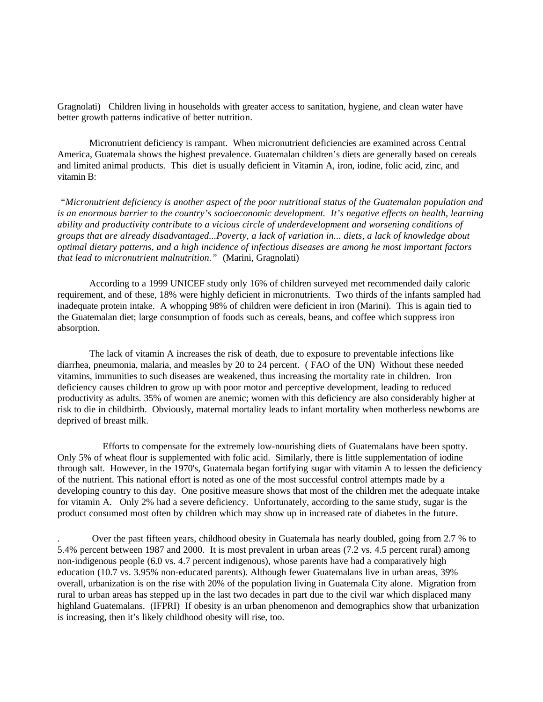Gragnolati) Children living in households with greater access to sanitation, hygiene, and clean water have better growth patterns indicative of better nutrition.

Micronutrient deficiency is rampant. When micronutrient deficiencies are examined across Central America, Guatemala shows the highest prevalence. Guatemalan children's diets are generally based on cereals and limited animal products. This diet is usually deficient in Vitamin A, iron, iodine, folic acid, zinc, and vitamin B:

 *"Micronutrient deficiency is another aspect of the poor nutritional status of the Guatemalan population and is an enormous barrier to the country's socioeconomic development. It's negative effects on health, learning ability and productivity contribute to a vicious circle of underdevelopment and worsening conditions of groups that are already disadvantaged...Poverty, a lack of variation in... diets, a lack of knowledge about optimal dietary patterns, and a high incidence of infectious diseases are among he most important factors that lead to micronutrient malnutrition."* (Marini, Gragnolati)

According to a 1999 UNICEF study only 16% of children surveyed met recommended daily caloric requirement, and of these, 18% were highly deficient in micronutrients. Two thirds of the infants sampled had inadequate protein intake. A whopping 98% of children were deficient in iron (Marini). This is again tied to the Guatemalan diet; large consumption of foods such as cereals, beans, and coffee which suppress iron absorption.

The lack of vitamin A increases the risk of death, due to exposure to preventable infections like diarrhea, pneumonia, malaria, and measles by 20 to 24 percent. ( FAO of the UN) Without these needed vitamins, immunities to such diseases are weakened, thus increasing the mortality rate in children. Iron deficiency causes children to grow up with poor motor and perceptive development, leading to reduced productivity as adults. 35% of women are anemic; women with this deficiency are also considerably higher at risk to die in childbirth. Obviously, maternal mortality leads to infant mortality when motherless newborns are deprived of breast milk.

 Efforts to compensate for the extremely low-nourishing diets of Guatemalans have been spotty. Only 5% of wheat flour is supplemented with folic acid. Similarly, there is little supplementation of iodine through salt. However, in the 1970's, Guatemala began fortifying sugar with vitamin A to lessen the deficiency of the nutrient. This national effort is noted as one of the most successful control attempts made by a developing country to this day. One positive measure shows that most of the children met the adequate intake for vitamin A. Only 2% had a severe deficiency. Unfortunately, according to the same study, sugar is the product consumed most often by children which may show up in increased rate of diabetes in the future.

. Over the past fifteen years, childhood obesity in Guatemala has nearly doubled, going from 2.7 % to 5.4% percent between 1987 and 2000. It is most prevalent in urban areas (7.2 vs. 4.5 percent rural) among non-indigenous people (6.0 vs. 4.7 percent indigenous), whose parents have had a comparatively high education (10.7 vs. 3.95% non-educated parents). Although fewer Guatemalans live in urban areas, 39% overall, urbanization is on the rise with 20% of the population living in Guatemala City alone. Migration from rural to urban areas has stepped up in the last two decades in part due to the civil war which displaced many highland Guatemalans. (IFPRI) If obesity is an urban phenomenon and demographics show that urbanization is increasing, then it's likely childhood obesity will rise, too.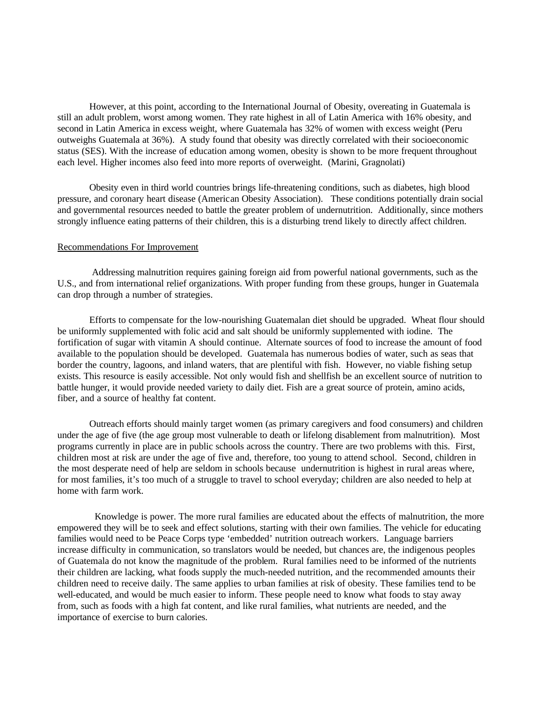However, at this point, according to the International Journal of Obesity, overeating in Guatemala is still an adult problem, worst among women. They rate highest in all of Latin America with 16% obesity, and second in Latin America in excess weight, where Guatemala has 32% of women with excess weight (Peru outweighs Guatemala at 36%). A study found that obesity was directly correlated with their socioeconomic status (SES). With the increase of education among women, obesity is shown to be more frequent throughout each level. Higher incomes also feed into more reports of overweight. (Marini, Gragnolati)

Obesity even in third world countries brings life-threatening conditions, such as diabetes, high blood pressure, and coronary heart disease (American Obesity Association). These conditions potentially drain social and governmental resources needed to battle the greater problem of undernutrition. Additionally, since mothers strongly influence eating patterns of their children, this is a disturbing trend likely to directly affect children.

## Recommendations For Improvement

 Addressing malnutrition requires gaining foreign aid from powerful national governments, such as the U.S., and from international relief organizations. With proper funding from these groups, hunger in Guatemala can drop through a number of strategies.

Efforts to compensate for the low-nourishing Guatemalan diet should be upgraded. Wheat flour should be uniformly supplemented with folic acid and salt should be uniformly supplemented with iodine. The fortification of sugar with vitamin A should continue. Alternate sources of food to increase the amount of food available to the population should be developed. Guatemala has numerous bodies of water, such as seas that border the country, lagoons, and inland waters, that are plentiful with fish. However, no viable fishing setup exists. This resource is easily accessible. Not only would fish and shellfish be an excellent source of nutrition to battle hunger, it would provide needed variety to daily diet. Fish are a great source of protein, amino acids, fiber, and a source of healthy fat content.

Outreach efforts should mainly target women (as primary caregivers and food consumers) and children under the age of five (the age group most vulnerable to death or lifelong disablement from malnutrition). Most programs currently in place are in public schools across the country. There are two problems with this. First, children most at risk are under the age of five and, therefore, too young to attend school. Second, children in the most desperate need of help are seldom in schools because undernutrition is highest in rural areas where, for most families, it's too much of a struggle to travel to school everyday; children are also needed to help at home with farm work.

 Knowledge is power. The more rural families are educated about the effects of malnutrition, the more empowered they will be to seek and effect solutions, starting with their own families. The vehicle for educating families would need to be Peace Corps type 'embedded' nutrition outreach workers. Language barriers increase difficulty in communication, so translators would be needed, but chances are, the indigenous peoples of Guatemala do not know the magnitude of the problem. Rural families need to be informed of the nutrients their children are lacking, what foods supply the much-needed nutrition, and the recommended amounts their children need to receive daily. The same applies to urban families at risk of obesity. These families tend to be well-educated, and would be much easier to inform. These people need to know what foods to stay away from, such as foods with a high fat content, and like rural families, what nutrients are needed, and the importance of exercise to burn calories.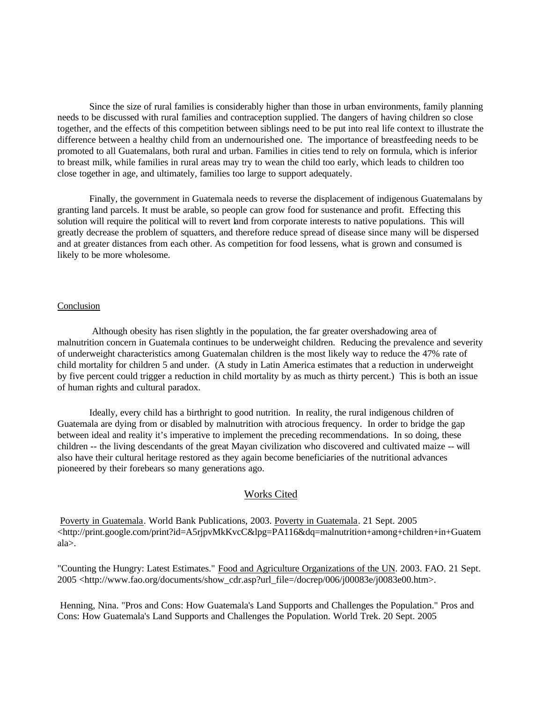Since the size of rural families is considerably higher than those in urban environments, family planning needs to be discussed with rural families and contraception supplied. The dangers of having children so close together, and the effects of this competition between siblings need to be put into real life context to illustrate the difference between a healthy child from an undernourished one. The importance of breastfeeding needs to be promoted to all Guatemalans, both rural and urban. Families in cities tend to rely on formula, which is inferior to breast milk, while families in rural areas may try to wean the child too early, which leads to children too close together in age, and ultimately, families too large to support adequately.

Finally, the government in Guatemala needs to reverse the displacement of indigenous Guatemalans by granting land parcels. It must be arable, so people can grow food for sustenance and profit. Effecting this solution will require the political will to revert land from corporate interests to native populations. This will greatly decrease the problem of squatters, and therefore reduce spread of disease since many will be dispersed and at greater distances from each other. As competition for food lessens, what is grown and consumed is likely to be more wholesome.

## Conclusion

 Although obesity has risen slightly in the population, the far greater overshadowing area of malnutrition concern in Guatemala continues to be underweight children. Reducing the prevalence and severity of underweight characteristics among Guatemalan children is the most likely way to reduce the 47% rate of child mortality for children 5 and under. (A study in Latin America estimates that a reduction in underweight by five percent could trigger a reduction in child mortality by as much as thirty percent.) This is both an issue of human rights and cultural paradox.

Ideally, every child has a birthright to good nutrition. In reality, the rural indigenous children of Guatemala are dying from or disabled by malnutrition with atrocious frequency. In order to bridge the gap between ideal and reality it's imperative to implement the preceding recommendations. In so doing, these children -- the living descendants of the great Mayan civilization who discovered and cultivated maize -- will also have their cultural heritage restored as they again become beneficiaries of the nutritional advances pioneered by their forebears so many generations ago.

## Works Cited

Poverty in Guatemala. World Bank Publications, 2003. Poverty in Guatemala. 21 Sept. 2005 <http://print.google.com/print?id=A5rjpvMkKvcC&lpg=PA116&dq=malnutrition+among+children+in+Guatem ala>.

"Counting the Hungry: Latest Estimates." Food and Agriculture Organizations of the UN. 2003. FAO. 21 Sept. 2005 <http://www.fao.org/documents/show\_cdr.asp?url\_file=/docrep/006/j00083e/j0083e00.htm>.

 Henning, Nina. "Pros and Cons: How Guatemala's Land Supports and Challenges the Population." Pros and Cons: How Guatemala's Land Supports and Challenges the Population. World Trek. 20 Sept. 2005